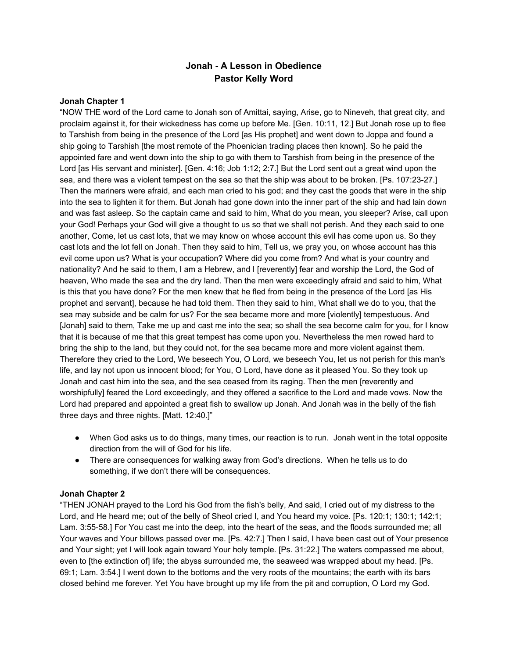# **Jonah A Lesson in Obedience Pastor Kelly Word**

### **Jonah Chapter 1**

"NOW THE word of the Lord came to Jonah son of Amittai, saying, Arise, go to Nineveh, that great city, and proclaim against it, for their wickedness has come up before Me. [Gen. 10:11, 12.] But Jonah rose up to flee to Tarshish from being in the presence of the Lord [as His prophet] and went down to Joppa and found a ship going to Tarshish [the most remote of the Phoenician trading places then known]. So he paid the appointed fare and went down into the ship to go with them to Tarshish from being in the presence of the Lord [as His servant and minister]. [Gen. 4:16; Job 1:12; 2:7.] But the Lord sent out a great wind upon the sea, and there was a violent tempest on the sea so that the ship was about to be broken. [Ps. 107:23-27.] Then the mariners were afraid, and each man cried to his god; and they cast the goods that were in the ship into the sea to lighten it for them. But Jonah had gone down into the inner part of the ship and had lain down and was fast asleep. So the captain came and said to him, What do you mean, you sleeper? Arise, call upon your God! Perhaps your God will give a thought to us so that we shall not perish. And they each said to one another, Come, let us cast lots, that we may know on whose account this evil has come upon us. So they cast lots and the lot fell on Jonah. Then they said to him, Tell us, we pray you, on whose account has this evil come upon us? What is your occupation? Where did you come from? And what is your country and nationality? And he said to them, I am a Hebrew, and I [reverently] fear and worship the Lord, the God of heaven, Who made the sea and the dry land. Then the men were exceedingly afraid and said to him, What is this that you have done? For the men knew that he fled from being in the presence of the Lord [as His prophet and servant], because he had told them. Then they said to him, What shall we do to you, that the sea may subside and be calm for us? For the sea became more and more [violently] tempestuous. And [Jonah] said to them, Take me up and cast me into the sea; so shall the sea become calm for you, for I know that it is because of me that this great tempest has come upon you. Nevertheless the men rowed hard to bring the ship to the land, but they could not, for the sea became more and more violent against them. Therefore they cried to the Lord, We beseech You, O Lord, we beseech You, let us not perish for this man's life, and lay not upon us innocent blood; for You, O Lord, have done as it pleased You. So they took up Jonah and cast him into the sea, and the sea ceased from its raging. Then the men [reverently and worshipfully] feared the Lord exceedingly, and they offered a sacrifice to the Lord and made vows. Now the Lord had prepared and appointed a great fish to swallow up Jonah. And Jonah was in the belly of the fish three days and three nights. [Matt. 12:40.]"

- When God asks us to do things, many times, our reaction is to run. Jonah went in the total opposite direction from the will of God for his life.
- There are consequences for walking away from God's directions. When he tells us to do something, if we don't there will be consequences.

## **Jonah Chapter 2**

"THEN JONAH prayed to the Lord his God from the fish's belly, And said, I cried out of my distress to the Lord, and He heard me; out of the belly of Sheol cried I, and You heard my voice. [Ps. 120:1; 130:1; 142:1; Lam. 3:5558.] For You cast me into the deep, into the heart of the seas, and the floods surrounded me; all Your waves and Your billows passed over me. [Ps. 42:7.] Then I said, I have been cast out of Your presence and Your sight; yet I will look again toward Your holy temple. [Ps. 31:22.] The waters compassed me about, even to [the extinction of] life; the abyss surrounded me, the seaweed was wrapped about my head. [Ps. 69:1; Lam. 3:54.] I went down to the bottoms and the very roots of the mountains; the earth with its bars closed behind me forever. Yet You have brought up my life from the pit and corruption, O Lord my God.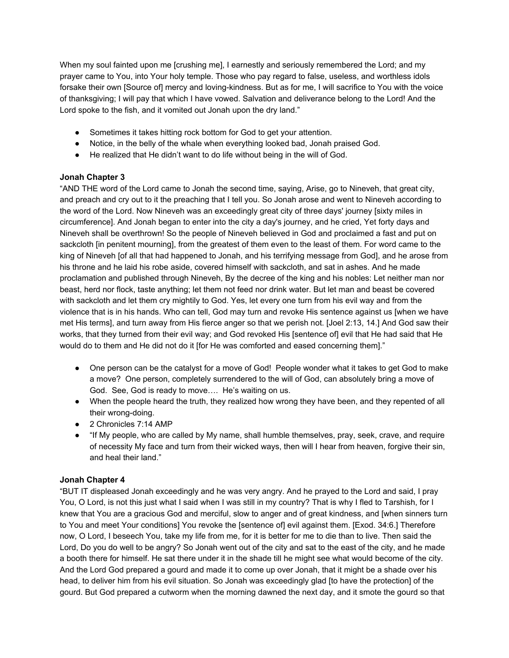When my soul fainted upon me [crushing me], I earnestly and seriously remembered the Lord; and my prayer came to You, into Your holy temple. Those who pay regard to false, useless, and worthless idols forsake their own [Source of] mercy and loving-kindness. But as for me, I will sacrifice to You with the voice of thanksgiving; I will pay that which I have vowed. Salvation and deliverance belong to the Lord! And the Lord spoke to the fish, and it vomited out Jonah upon the dry land."

- Sometimes it takes hitting rock bottom for God to get your attention.
- Notice, in the belly of the whale when everything looked bad, Jonah praised God.
- He realized that He didn't want to do life without being in the will of God.

## **Jonah Chapter 3**

"AND THE word of the Lord came to Jonah the second time, saying, Arise, go to Nineveh, that great city, and preach and cry out to it the preaching that I tell you. So Jonah arose and went to Nineveh according to the word of the Lord. Now Nineveh was an exceedingly great city of three days' journey [sixty miles in circumference]. And Jonah began to enter into the city a day's journey, and he cried, Yet forty days and Nineveh shall be overthrown! So the people of Nineveh believed in God and proclaimed a fast and put on sackcloth [in penitent mourning], from the greatest of them even to the least of them. For word came to the king of Nineveh [of all that had happened to Jonah, and his terrifying message from God], and he arose from his throne and he laid his robe aside, covered himself with sackcloth, and sat in ashes. And he made proclamation and published through Nineveh, By the decree of the king and his nobles: Let neither man nor beast, herd nor flock, taste anything; let them not feed nor drink water. But let man and beast be covered with sackcloth and let them cry mightily to God. Yes, let every one turn from his evil way and from the violence that is in his hands. Who can tell, God may turn and revoke His sentence against us [when we have met His terms], and turn away from His fierce anger so that we perish not. [Joel 2:13, 14.] And God saw their works, that they turned from their evil way; and God revoked His [sentence of] evil that He had said that He would do to them and He did not do it [for He was comforted and eased concerning them]."

- One person can be the catalyst for a move of God! People wonder what it takes to get God to make a move? One person, completely surrendered to the will of God, can absolutely bring a move of God. See, God is ready to move…. He's waiting on us.
- When the people heard the truth, they realized how wrong they have been, and they repented of all their wrong-doing.
- 2 Chronicles 7:14 AMP
- "If My people, who are called by My name, shall humble themselves, pray, seek, crave, and require of necessity My face and turn from their wicked ways, then will I hear from heaven, forgive their sin, and heal their land."

# **Jonah Chapter 4**

"BUT IT displeased Jonah exceedingly and he was very angry. And he prayed to the Lord and said, I pray You, O Lord, is not this just what I said when I was still in my country? That is why I fled to Tarshish, for I knew that You are a gracious God and merciful, slow to anger and of great kindness, and [when sinners turn to You and meet Your conditions] You revoke the [sentence of] evil against them. [Exod. 34:6.] Therefore now, O Lord, I beseech You, take my life from me, for it is better for me to die than to live. Then said the Lord, Do you do well to be angry? So Jonah went out of the city and sat to the east of the city, and he made a booth there for himself. He sat there under it in the shade till he might see what would become of the city. And the Lord God prepared a gourd and made it to come up over Jonah, that it might be a shade over his head, to deliver him from his evil situation. So Jonah was exceedingly glad [to have the protection] of the gourd. But God prepared a cutworm when the morning dawned the next day, and it smote the gourd so that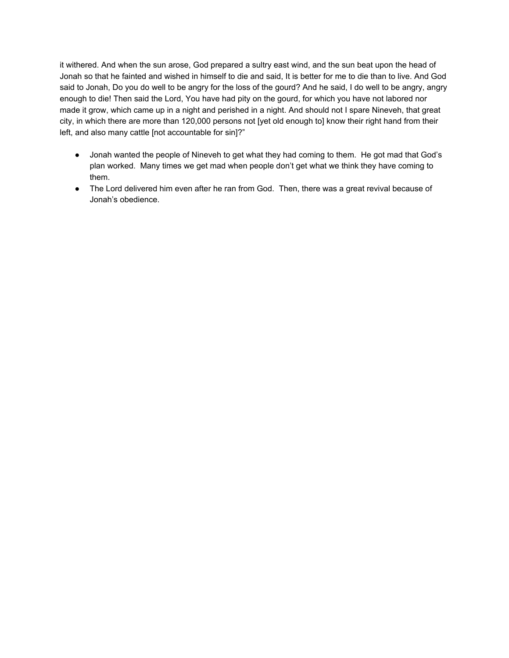it withered. And when the sun arose, God prepared a sultry east wind, and the sun beat upon the head of Jonah so that he fainted and wished in himself to die and said, It is better for me to die than to live. And God said to Jonah, Do you do well to be angry for the loss of the gourd? And he said, I do well to be angry, angry enough to die! Then said the Lord, You have had pity on the gourd, for which you have not labored nor made it grow, which came up in a night and perished in a night. And should not I spare Nineveh, that great city, in which there are more than 120,000 persons not [yet old enough to] know their right hand from their left, and also many cattle [not accountable for sin]?"

- Jonah wanted the people of Nineveh to get what they had coming to them. He got mad that God's plan worked. Many times we get mad when people don't get what we think they have coming to them.
- The Lord delivered him even after he ran from God. Then, there was a great revival because of Jonah's obedience.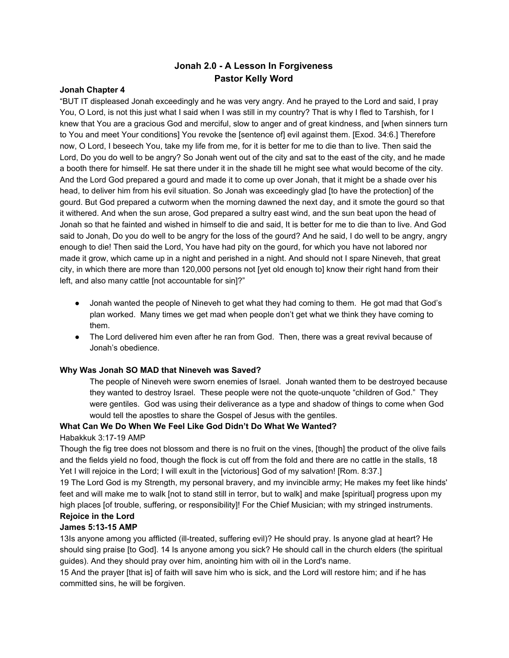# **Jonah 2.0 A Lesson In Forgiveness Pastor Kelly Word**

## **Jonah Chapter 4**

"BUT IT displeased Jonah exceedingly and he was very angry. And he prayed to the Lord and said, I pray You, O Lord, is not this just what I said when I was still in my country? That is why I fled to Tarshish, for I knew that You are a gracious God and merciful, slow to anger and of great kindness, and [when sinners turn to You and meet Your conditions] You revoke the [sentence of] evil against them. [Exod. 34:6.] Therefore now, O Lord, I beseech You, take my life from me, for it is better for me to die than to live. Then said the Lord, Do you do well to be angry? So Jonah went out of the city and sat to the east of the city, and he made a booth there for himself. He sat there under it in the shade till he might see what would become of the city. And the Lord God prepared a gourd and made it to come up over Jonah, that it might be a shade over his head, to deliver him from his evil situation. So Jonah was exceedingly glad [to have the protection] of the gourd. But God prepared a cutworm when the morning dawned the next day, and it smote the gourd so that it withered. And when the sun arose, God prepared a sultry east wind, and the sun beat upon the head of Jonah so that he fainted and wished in himself to die and said, It is better for me to die than to live. And God said to Jonah, Do you do well to be angry for the loss of the gourd? And he said, I do well to be angry, angry enough to die! Then said the Lord, You have had pity on the gourd, for which you have not labored nor made it grow, which came up in a night and perished in a night. And should not I spare Nineveh, that great city, in which there are more than 120,000 persons not [yet old enough to] know their right hand from their left, and also many cattle [not accountable for sin]?"

- Jonah wanted the people of Nineveh to get what they had coming to them. He got mad that God's plan worked. Many times we get mad when people don't get what we think they have coming to them.
- The Lord delivered him even after he ran from God. Then, there was a great revival because of Jonah's obedience.

#### **Why Was Jonah SO MAD that Nineveh was Saved?**

The people of Nineveh were sworn enemies of Israel. Jonah wanted them to be destroyed because they wanted to destroy Israel. These people were not the quote-unquote "children of God." They were gentiles. God was using their deliverance as a type and shadow of things to come when God would tell the apostles to share the Gospel of Jesus with the gentiles.

## **What Can We Do When We Feel Like God Didn't Do What We Wanted?**

#### Habakkuk 3:17-19 AMP

Though the fig tree does not blossom and there is no fruit on the vines, [though] the product of the olive fails and the fields yield no food, though the flock is cut off from the fold and there are no cattle in the stalls, 18 Yet I will rejoice in the Lord; I will exult in the [victorious] God of my salvation! [Rom. 8:37.]

19 The Lord God is my Strength, my personal bravery, and my invincible army; He makes my feet like hinds' feet and will make me to walk [not to stand still in terror, but to walk] and make [spiritual] progress upon my high places [of trouble, suffering, or responsibility]! For the Chief Musician; with my stringed instruments.

# **Rejoice in the Lord**

## **James 5:1315 AMP**

13Is anyone among you afflicted (ill-treated, suffering evil)? He should pray. Is anyone glad at heart? He should sing praise [to God]. 14 Is anyone among you sick? He should call in the church elders (the spiritual guides). And they should pray over him, anointing him with oil in the Lord's name.

15 And the prayer [that is] of faith will save him who is sick, and the Lord will restore him; and if he has committed sins, he will be forgiven.